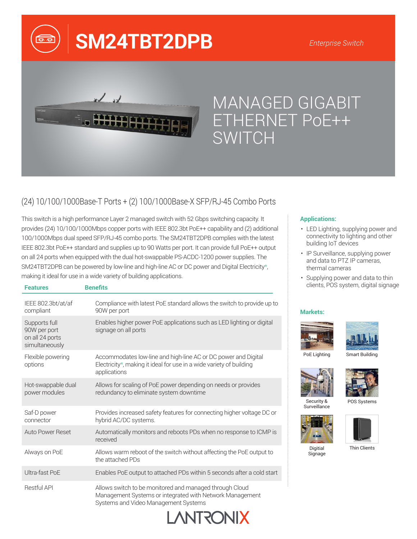# **SM24TBT2DPB**



 $\widehat{p}$ 

## MANAGED GIGABIT ETHERNET PoE++ SWITCH

### (24) 10/100/1000Base-T Ports + (2) 100/1000Base-X SFP/RJ-45 Combo Ports

This switch is a high performance Layer 2 managed switch with 52 Gbps switching capacity. It provides (24) 10/100/1000Mbps copper ports with IEEE 802.3bt PoE++ capability and (2) additional 100/1000Mbps dual speed SFP/RJ-45 combo ports. The SM24TBT2DPB complies with the latest IEEE 802.3bt PoE++ standard and supplies up to 90 Watts per port. It can provide full PoE++ output on all 24 ports when equipped with the dual hot-swappable PS-ACDC-1200 power supplies. The SM24TBT2DPB can be powered by low-line and high-line AC or DC power and Digital Electricity\*, making it ideal for use in a wide variety of building applications.

| <b>Features</b>                                                    | <b>Benefits</b>                                                                                                                                             |  |
|--------------------------------------------------------------------|-------------------------------------------------------------------------------------------------------------------------------------------------------------|--|
| IEEE 802.3bt/at/af<br>compliant                                    | Compliance with latest PoE standard allows the switch to provide up to<br>90W per port                                                                      |  |
| Supports full<br>90W per port<br>on all 24 ports<br>simultaneously | Enables higher power PoE applications such as LED lighting or digital<br>signage on all ports                                                               |  |
| Flexible powering<br>options                                       | Accommodates low-line and high-line AC or DC power and Digital<br>Electricity*, making it ideal for use in a wide variety of building<br>applications       |  |
| Hot-swappable dual<br>power modules                                | Allows for scaling of PoE power depending on needs or provides<br>redundancy to eliminate system downtime                                                   |  |
| Saf-D power<br>connector                                           | Provides increased safety features for connecting higher voltage DC or<br>hybrid AC/DC systems.                                                             |  |
| <b>Auto Power Reset</b>                                            | Automatically monitors and reboots PDs when no response to ICMP is<br>received                                                                              |  |
| Always on PoE                                                      | Allows warm reboot of the switch without affecting the PoE output to<br>the attached PDs                                                                    |  |
| Ultra-fast PoE                                                     | Enables PoE output to attached PDs within 5 seconds after a cold start                                                                                      |  |
| <b>Restful API</b>                                                 | Allows switch to be monitored and managed through Cloud<br>Management Systems or integrated with Network Management<br>Systems and Video Management Systems |  |

**XII/OSTIVA** 

#### **Applications:**

- LED Lighting, supplying power and connectivity to lighting and other building IoT devices
- IP Surveillance, supplying power and data to PTZ IP cameras, thermal cameras
- Supplying power and data to thin clients, POS system, digital signage

#### **Markets:**





PoE Lighting

Smart Building





Security & **Surveillance** POS Systems



Signage

Digitial Thin Clients